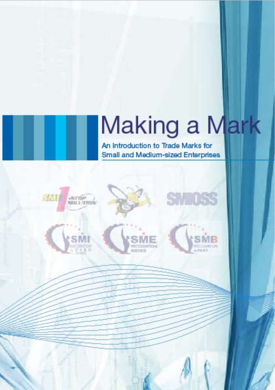# Making a Mark

An Introduction to Trade Marks for Small and Medium-sized Enterprises

**WARRANT** 

SMI

 $\frac{string}{sau+rms}$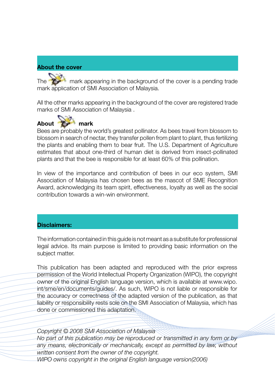#### About the cover

The **The mark appearing in the background of the cover is a pending trade** mark application of SMI Association of Malaysia.

All the other marks appearing in the background of the cover are registered trade marks of SMI Association of Malaysia .



Bees are probably the world's greatest pollinator. As bees travel from blossom to blossom in search of nectar, they transfer pollen from plant to plant, thus fertilizing the plants and enabling them to bear fruit. The U.S. Department of Agriculture estimates that about one-third of human diet is derived from insect-pollinated plants and that the bee is responsible for at least 60% of this pollination.

In view of the importance and contribution of bees in our eco system, SMI Association of Malaysia has chosen bees as the mascot of SME Recognition Award, acknowledging its team spirit, effectiveness, loyalty as well as the social contribution towards a win-win environment.

#### Disclaimers:

The information contained in this guide is not meant as a substitute for professional legal advice. Its main purpose is limited to providing basic information on the subject matter.

This publication has been adapted and reproduced with the prior express permission of the World Intellectual Property Organization (WIPO), the copyright owner of the original English language version, which is available at www.wipo. int/sme/en/documents/guides/. As such, WIPO is not liable or responsible for the accuracy or correctness of the adapted version of the publication, as that liability or responsibility rests sole on the SMI Association of Malaysia, which has done or commissioned this adaptation.

*Copyright © 2008 SMI Association of Malaysia No part of this publication may be reproduced or transmitted in any form or by*  any means, electronically or mechanically, except as permitted by law, without *written consent from the owner of the copyright. WIPO owns copyright in the original English language version(2006)*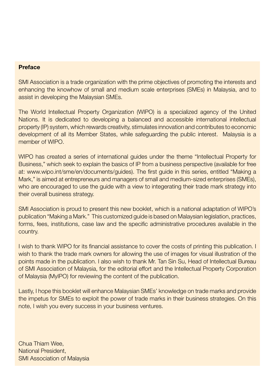#### Preface

SMI Association is a trade organization with the prime objectives of promoting the interests and enhancing the knowhow of small and medium scale enterprises (SMEs) in Malaysia, and to assist in developing the Malaysian SMEs.

The World Intellectual Property Organization (WIPO) is a specialized agency of the United Nations. It is dedicated to developing a balanced and accessible international intellectual property (IP) system, which rewards creativity, stimulates innovation and contributes to economic development of all its Member States, while safeguarding the public interest. Malaysia is a member of WIPO

WIPO has created a series of international guides under the theme "Intellectual Property for Business," which seek to explain the basics of IP from a business perspective (available for free at: www.wipo.int/sme/en/documents/guides). The first guide in this series, entitled "Making a Mark," is aimed at entrepreneurs and managers of small and medium-sized enterprises (SMEs), who are encouraged to use the guide with a view to integerating their trade mark strategy into their overall business strategy.

SMI Association is proud to present this new booklet, which is a national adaptation of WIPO's publication "Making a Mark." This customized guide is based on Malaysian legislation, practices, forms, fees, institutions, case law and the specific administrative procedures available in the country.

I wish to thank WIPO for its financial assistance to cover the costs of printing this publication. I wish to thank the trade mark owners for allowing the use of images for visual illustration of the points made in the publication. I also wish to thank Mr. Tan Sin Su, Head of Intellectual Bureau of SMI Association of Malaysia, for the editorial effort and the Intellectual Property Corporation of Malaysia (MyIPO) for reviewing the content of the publication.

Lastly, I hope this booklet will enhance Malaysian SMEs' knowledge on trade marks and provide the impetus for SMEs to exploit the power of trade marks in their business strategies. On this note, I wish you every success in your business ventures.

Chua Thiam Wee, National President, SMI Association of Malaysia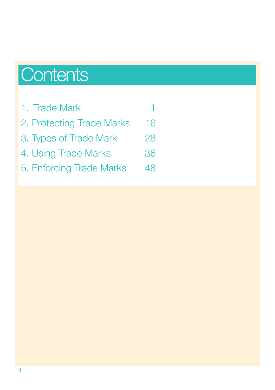## **Contents**

| 1. Trade Mark             |    |
|---------------------------|----|
| 2. Protecting Trade Marks | 16 |
| 3. Types of Trade Mark    | 28 |
| 4. Using Trade Marks      | 36 |
| 5. Enforcing Trade Marks  | 48 |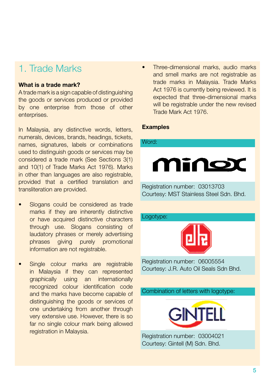## 1. Trade Marks

#### What is a trade mark?

A trade mark is a sign capable of distinguishing the goods or services produced or provided by one enterprise from those of other enterprises.

In Malaysia, any distinctive words, letters, numerals, devices, brands, headings, tickets, names, signatures, labels or combinations used to distinguish goods or services may be considered a trade mark (See Sections 3(1) and 10(1) of Trade Marks Act 1976). Marks in other than languages are also registrable, provided that a certified translation and transliteration are provided.

- Slogans could be considered as trade marks if they are inherently distinctive or have acquired distinctive characters through use. Slogans consisting of laudatory phrases or merely advertising phrases giving purely promotional information are not registrable.
- Single colour marks are registrable in Malaysia if they can represented graphically using an internationally recognized colour identification code and the marks have become capable of distinguishing the goods or services of one undertaking from another through very extensive use. However, there is so far no single colour mark being allowed registration in Malaysia.

• Three-dimensional marks, audio marks and smell marks are not registrable as trade marks in Malaysia. Trade Marks Act 1976 is currently being reviewed. It is expected that three-dimensional marks will be registrable under the new revised Trade Mark Act 1976.

#### Examples



Registration number: 06005554 Courtesy: J.R. Auto Oil Seals Sdn Bhd.

Combination of letters with logotype:



Registration number: 03004021 Courtesy: Gintell (M) Sdn. Bhd.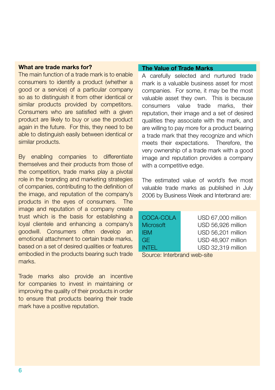#### What are trade marks for?

The main function of a trade mark is to enable consumers to identify a product (whether a good or a service) of a particular company so as to distinguish it from other identical or similar products provided by competitors. Consumers who are satisfied with a given product are likely to buy or use the product again in the future. For this, they need to be able to distinguish easily between identical or similar products.

By enabling companies to differentiate themselves and their products from those of the competition, trade marks play a pivotal role in the branding and marketing strategies of companies, contributing to the definition of the image, and reputation of the company's products in the eyes of consumers. The image and reputation of a company create trust which is the basis for establishing a loyal clientele and enhancing a company's goodwill. Consumers often develop an emotional attachment to certain trade marks, based on a set of desired qualities or features embodied in the products bearing such trade marks.

Trade marks also provide an incentive for companies to invest in maintaining or improving the quality of their products in order to ensure that products bearing their trade mark have a positive reputation.

#### The Value of Trade Marks

A carefully selected and nurtured trade mark is a valuable business asset for most companies. For some, it may be the most valuable asset they own. This is because consumers value trade marks, their reputation, their image and a set of desired qualities they associate with the mark, and are willing to pay more for a product bearing a trade mark that they recognize and which meets their expectations. Therefore, the very ownership of a trade mark with a good image and reputation provides a company with a competitive edge.

The estimated value of world's five most valuable trade marks as published in July 2006 by Business Week and Interbrand are:

| COCA-COLA |
|-----------|
| Microsoft |
| IBM       |
| GE        |
| INTEL     |

USD 67,000 million USD 56,926 million USD 56,201 million USD 48,907 million USD 32,319 million

Source: Interbrand web-site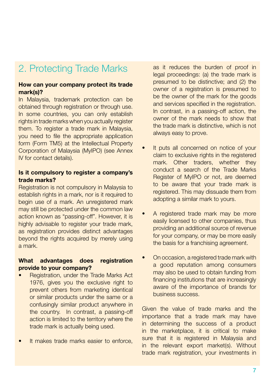## 2. Protecting Trade Marks

#### How can your company protect its trade mark(s)?

In Malaysia, trademark protection can be obtained through registration or through use. In some countries, you can only establish rights in trade marks when you actually register them. To register a trade mark in Malaysia, you need to file the appropriate application form (Form TM5) at the Intellectual Property Corporation of Malaysia (MyIPO) (see Annex IV for contact details).

#### Is it compulsory to register a company's trade marks?

Registration is not compulsory in Malaysia to establish rights in a mark, nor is it required to begin use of a mark. An unregistered mark may still be protected under the common law action known as "passing-off". However, it is highly advisable to register your trade mark, as registration provides distinct advantages beyond the rights acquired by merely using a mark.

#### What advantages does registration provide to your company?

- Registration, under the Trade Marks Act 1976, gives you the exclusive right to prevent others from marketing identical or similar products under the same or a confusingly similar product anywhere in the country. In contrast, a passing-off action is limited to the territory where the trade mark is actually being used.
- It makes trade marks easier to enforce,

as it reduces the burden of proof in legal proceedings: (a) the trade mark is presumed to be distinctive; and (2) the owner of a registration is presumed to be the owner of the mark for the goods and services specified in the registration. In contrast, in a passing-off action, the owner of the mark needs to show that the trade mark is distinctive, which is not always easy to prove.

- It puts all concerned on notice of your claim to exclusive rights in the registered mark. Other traders, whether they conduct a search of the Trade Marks Register of MyIPO or not, are deemed to be aware that your trade mark is registered. This may dissuade them from adopting a similar mark to yours.
- A registered trade mark may be more easily licensed to other companies, thus providing an additional source of revenue for your company, or may be more easily the basis for a franchising agreement.
- On occasion, a registered trade mark with a good reputation among consumers may also be used to obtain funding from financing institutions that are increasingly aware of the importance of brands for business success.

Given the value of trade marks and the importance that a trade mark may have in determining the success of a product in the marketplace, it is critical to make sure that it is registered in Malaysia and in the relevant export market(s). Without trade mark registration, your investments in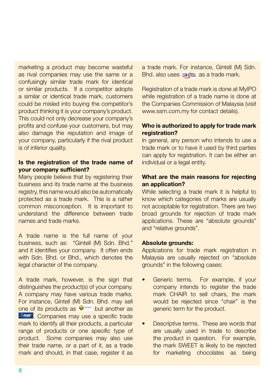marketing a product may become wasteful as rival companies may use the same or a confusingly similar trade mark for identical or similar products. If a competitor adopts a similar or identical trade mark, customers could be misled into buying the competitor's product thinking it is your company's product. This could not only decrease your company's profits and confuse your customers, but may also damage the reputation and image of your company, particularly if the rival product is of inferior quality.

#### Is the registration of the trade name of your company sufficient?

Many people believe that by registering their business and its trade name at the business registry, this name would also be automatically protected as a trade mark. This is a rather common misconception. It is important to understand the difference between trade names and trade marks.

A trade name is the full name of your business, such as: "Gintell (M) Sdn. Bhd." and it identifies your company. It often ends with Sdn. Bhd. or Bhd., which denotes the legal character of the company.

A trade mark, however, is the sign that distinguishes the product(s) of your company. A company may have various trade marks. For instance, Gintell (M) Sdn. Bhd. may sell one of its products as **but another** as **Error**. Companies may use a specific trade mark to identify all their products, a particular range of products or one specific type of product. Some companies may also use their trade name, or a part of it, as a trade mark and should, in that case, register it as a trade mark. For instance, Gintell (M) Sdn. Bhd. also uses **GNTEL** as a trade mark.

Registration of a trade mark is done at MyIPO while registration of a trade name is done at the Companies Commission of Malaysia (visit www.ssm.com.my for contact details).

#### Who is authorized to apply for trade mark registration?

In general, any person who intends to use a trade mark or to have it used by third parties can apply for registration. It can be either an individual or a legal entity.

#### What are the main reasons for rejecting an application?

While selecting a trade mark it is helpful to know which categories of marks are usually not acceptable for registration. There are two broad grounds for rejection of trade mark applications. These are "absolute grounds" and "relative grounds".

#### Absolute grounds:

Applications for trade mark registration in Malaysia are usually rejected on "absolute grounds" in the following cases:

- Generic terms. For example, if your company intends to register the trade mark CHAIR to sell chairs, the mark would be rejected since "chair" is the generic term for the product.
- Descriptive terms. These are words that are usually used in trade to describe the product in question. For example, the mark SWEET is likely to be rejected for marketing chocolates as being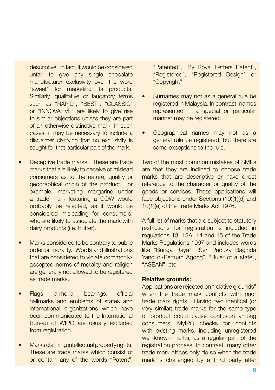descriptive. In fact, it would be considered unfair to give any single chocolate manufacturer exclusivity over the word "sweet" for marketing its products. Similarly, qualitative or laudatory terms such as "RAPID", "BEST", "CLASSIC" or "INNOVATIVE" are likely to give rise to similar objections unless they are part of an otherwise distinctive mark. In such cases, it may be necessary to include a disclaimer clarifying that no exclusivity is sought for that particular part of the mark.

- Deceptive trade marks. These are trade marks that are likely to deceive or mislead consumers as to the nature, quality or geographical origin of the product. For example, marketing margarine under a trade mark featuring a COW would probably be rejected, as it would be considered misleading for consumers, who are likely to associate the mark with dairy products (i.e. butter).
- Marks considered to be contrary to public order or morality. Words and illustrations that are considered to violate commonlyaccepted norms of morality and religion are generally not allowed to be registered as trade marks.
- Flags, armorial bearings, official hallmarks and emblems of states and international organizations which have been communicated to the International Bureau of WIPO are usually excluded from registration.
- Marks claiming intellectual property rights. These are trade marks which consist of or contain any of the words "Patent",

"Patented", "By Royal Letters Patent", "Registered", "Registered Design" or "Copyright".

- Surnames may not as a general rule be registered in Malaysia. In contrast, names represented in a special or particular manner may be registered.
- Geographical names may not as a general rule be registered, but there are some exceptions to the rule.

Two of the most common mistakes of SMEs are that they are inclined to choose trade marks that are descriptive or have direct reference to the character or quality of the goods or services. These applications will face objections under Sections (10)(1)(d) and 10(1)(e) of the Trade Marks Act 1976.

A full list of marks that are subject to statutory restrictions for registration is included in regulations 13, 13A, 14 and 15 of the Trade Marks Regulations 1997 and includes words like "Bunga Raya", "Seri Paduka Baginda Yang di-Pertuan Agong", "Ruler of a state", "ASEAN", etc.

#### Relative grounds:

Applications are rejected on "relative grounds" when the trade mark conflicts with prior trade mark rights. Having two identical (or very similar) trade marks for the same type of product could cause confusion among consumers. MyIPO checks for conflicts with existing marks, including unregistered well-known marks, as a regular part of the registration process. In contrast, many other trade mark offices only do so when the trade mark is challenged by a third party after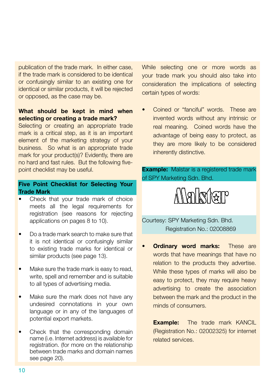publication of the trade mark. In either case, if the trade mark is considered to be identical or confusingly similar to an existing one for identical or similar products, it will be rejected or opposed, as the case may be.

#### What should be kept in mind when selecting or creating a trade mark?

Selecting or creating an appropriate trade mark is a critical step, as it is an important element of the marketing strategy of your business. So what is an appropriate trade mark for your product(s)? Evidently, there are no hard and fast rules. But the following fivepoint checklist may be useful.

#### Five Point Checklist for Selecting Your Trade Mark

- Check that your trade mark of choice meets all the legal requirements for registration (see reasons for rejecting applications on pages 8 to 10).
- Do a trade mark search to make sure that it is not identical or confusingly similar to existing trade marks for identical or similar products (see page 13).
- Make sure the trade mark is easy to read, write, spell and remember and is suitable to all types of advertising media.
- Make sure the mark does not have any undesired connotations in your own language or in any of the languages of potential export markets.
- Check that the corresponding domain name (i.e. Internet address) is available for registration. (for more on the relationship between trade marks and domain names see page 20).

While selecting one or more words as your trade mark you should also take into consideration the implications of selecting certain types of words:

• Coined or "fanciful" words. These are invented words without any intrinsic or real meaning. Coined words have the advantage of being easy to protect, as they are more likely to be considered inherently distinctive.

**Example:** Malstar is a registered trade mark of SPY Marketing Sdn. Bhd.



Courtesy: SPY Marketing Sdn. Bhd. Registration No.: 02008869

**Ordinary word marks:** These are words that have meanings that have no relation to the products they advertise. While these types of marks will also be easy to protect, they may require heavy advertising to create the association between the mark and the product in the minds of consumers.

**Example:** The trade mark KANCIL (Registration No.: 02002325) for internet related services.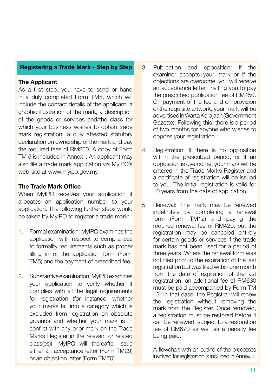#### Registering a Trade Mark - Step by Step

#### The Applicant

As a first step, you have to send or hand in a duly completed Form TM5, which will include the contact details of the applicant, a graphic illustration of the mark, a description of the goods or services and/the class for which your business wishes to obtain trade mark registration, a duly attested statutory declaration on ownership of the mark and pay the required fees of RM250. A copy of Form TM 5 is included in Annex I. An applicant may also file a trade mark application via MyIPO's web-site at www.myipo.gov.my.

#### The Trade Mark Office

When MyIPO receives your application it allocates an application number to your application. The following further steps would be taken by MyIPO to register a trade mark:

- 1. Formal examination: MyIPO examines the application with respect to compliances to formality requirements such as proper filling in of the application form (Form TM5) and the payment of prescribed fee.
- 2. Substantive examination: MyIPO examines your application to verify whether it complies with all the legal requirements for registration (for instance, whether your marks fall into a category which is excluded from registration on absolute grounds and whether your mark is in conflict with any prior mark on the Trade Marks Register in the relevant or related class(es)). MyIPO will thereafter issue either an acceptance letter (Form TM29) or an objection letter (Form TM70).
- 3. Publication and opposition: If the examiner accepts your mark or if the objections are overcome, you will receive an acceptance letter inviting you to pay the prescribed publication fee of RM450. On payment of the fee and on provision of the requisite artwork, your mark will be advertised in Warta Kerajaan (Government Gazette). Following this, there is a period of two months for anyone who wishes to oppose your registration.
- 4. Registration: If there is no opposition within the prescribed period, or if an opposition is overcome, your mark will be entered in the Trade Marks Register and a certificate of registration will be issued to you. The initial registration is valid for 10 years from the date of application.
- 5. Renewal: The mark may be renewed indefinitely by completing a renewal form (Form TM12) and paying the required renewal fee of RM420, but the registration may be canceled entirely for certain goods or services if the trade mark has not been used for a period of three years. Where the renewal form was not filed prior to the expiration of the last registration but was filed within one month from the date of expiration of the last registration, an additional fee of RM630 must be paid accompanied by Form TM 13. In that case, the Registrar will renew the registration without removing the mark from the Register. Once removed, a registration must be restored before it can be renewed, subject to a restoration fee of RM670 as well as a penalty fee being paid.

A flowchart with an outline of the processes involved for registration is included in Annex II.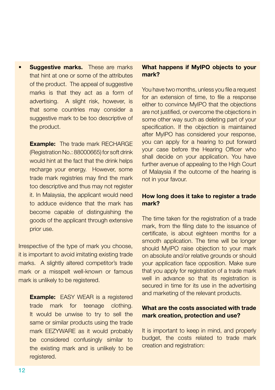**Suggestive marks.** These are marks that hint at one or some of the attributes of the product. The appeal of suggestive marks is that they act as a form of advertising. A slight risk, however, is that some countries may consider a suggestive mark to be too descriptive of the product.

**Example:** The trade mark RECHARGE (Registration No.: 88000665) for soft drink would hint at the fact that the drink helps recharge your energy. However, some trade mark registries may find the mark too descriptive and thus may not register it. In Malaysia, the applicant would need to adduce evidence that the mark has become capable of distinguishing the goods of the applicant through extensive prior use.

Irrespective of the type of mark you choose, it is important to avoid imitating existing trade marks. A slightly altered competitor's trade mark or a misspelt well-known or famous mark is unlikely to be registered.

**Example:** EASY WEAR is a registered trade mark for teenage clothing. It would be unwise to try to sell the same or similar products using the trade mark EEZYWARE as it would probably be considered confusingly similar to the existing mark and is unlikely to be registered.

#### What happens if MyIPO objects to your mark?

You have two months, unless you file a request for an extension of time, to file a response either to convince MyIPO that the objections are not justified, or overcome the objections in some other way such as deleting part of your specification. If the objection is maintained after MyIPO has considered your response, you can apply for a hearing to put forward your case before the Hearing Officer who shall decide on your application. You have further avenue of appealing to the High Court of Malaysia if the outcome of the hearing is not in your favour.

#### How long does it take to register a trade mark?

The time taken for the registration of a trade mark, from the filing date to the issuance of certificate, is about eighteen months for a smooth application. The time will be longer should MyIPO raise objection to your mark on absolute and/or relative grounds or should your application face opposition. Make sure that you apply for registration of a trade mark well in advance so that its registration is secured in time for its use in the advertising and marketing of the relevant products.

#### What are the costs associated with trade mark creation, protection and use?

It is important to keep in mind, and properly budget, the costs related to trade mark creation and registration: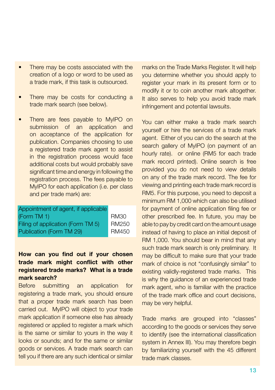- There may be costs associated with the creation of a logo or word to be used as a trade mark, if this task is outsourced.
- There may be costs for conducting a trade mark search (see below).
- There are fees payable to MyIPO on submission of an application and on acceptance of the application for publication. Companies choosing to use a registered trade mark agent to assist in the registration process would face additional costs but would probably save significant time and energy in following the registration process. The fees payable to MyIPO for each application (i.e. per class and per trade mark) are:

| Appointment of agent, if applicable |       |
|-------------------------------------|-------|
| (Form TM 1)                         | RM30  |
| Filing of application (Form TM 5)   | RM250 |
| Publication (Form TM 29)            | RM450 |

#### How can you find out if your chosen trade mark might conflict with other registered trade marks? What is a trade mark search?

Before submitting an application for registering a trade mark, you should ensure that a proper trade mark search has been carried out. MyIPO will object to your trade mark application if someone else has already registered or applied to register a mark which is the same or similar to yours in the way it looks or sounds; and for the same or similar goods or services. A trade mark search can tell you if there are any such identical or similar marks on the Trade Marks Register. It will help you determine whether you should apply to register your mark in its present form or to modify it or to coin another mark altogether. It also serves to help you avoid trade mark infringement and potential lawsuits.

You can either make a trade mark search yourself or hire the services of a trade mark agent. Either of you can do the search at the search gallery of MyIPO (on payment of an hourly rate). or online (RM5 for each trade mark record printed). Online search is free provided you do not need to view details on any of the trade mark record. The fee for viewing and printing each trade mark record is RM5. For this purpose, you need to deposit a minimum RM 1,000 which can also be utilised for payment of online application filing fee or other prescribed fee. In future, you may be able to pay by credit card on the amount usage instead of having to place an initial deposit of RM 1,000. You should bear in mind that any such trade mark search is only preliminary. It may be difficult to make sure that your trade mark of choice is not "confusingly similar" to existing validly-registered trade marks. This is why the guidance of an experienced trade mark agent, who is familiar with the practice of the trade mark office and court decisions, may be very helpful.

Trade marks are grouped into "classes" according to the goods or services they serve to identify (see the international classification system in Annex III). You may therefore begin by familiarizing yourself with the 45 different trade mark classes.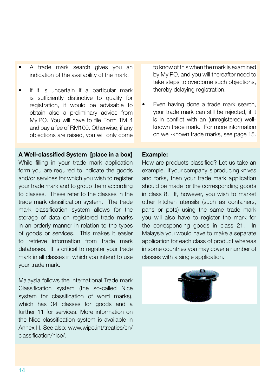- A trade mark search gives you an indication of the availability of the mark.
- If it is uncertain if a particular mark is sufficiently distinctive to qualify for registration, it would be advisable to obtain also a preliminary advice from MyIPO. You will have to file Form TM 4 and pay a fee of RM100. Otherwise, if any objections are raised, you will only come

#### A Well-classified System [place in a box]

While filling in your trade mark application form you are required to indicate the goods and/or services for which you wish to register your trade mark and to group them according to classes. These refer to the classes in the trade mark classification system. The trade mark classification system allows for the storage of data on registered trade marks in an orderly manner in relation to the types of goods or services. This makes it easier to retrieve information from trade mark databases. It is critical to register your trade mark in all classes in which you intend to use your trade mark.

Malaysia follows the International Trade mark Classification system (the so-called Nice system for classification of word marks), which has 34 classes for goods and a further 11 for services. More information on the Nice classification system is available in Annex III. See also: www.wipo.int/treaties/en/ classification/nice/.

to know of this when the mark is examined by MyIPO, and you will thereafter need to take steps to overcome such objections, thereby delaying registration.

• Even having done a trade mark search, your trade mark can still be rejected, if it is in conflict with an (unregistered) wellknown trade mark. For more information on well-known trade marks, see page 15.

#### Example:

How are products classified? Let us take an example. If your company is producing knives and forks, then your trade mark application should be made for the corresponding goods in class 8. If, however, you wish to market other kitchen utensils (such as containers, pans or pots) using the same trade mark you will also have to register the mark for the corresponding goods in class 21. In Malaysia you would have to make a separate application for each class of product whereas in some countries you may cover a number of classes with a single application.

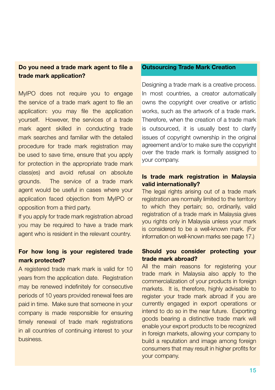#### Do you need a trade mark agent to file a trade mark application?

MyIPO does not require you to engage the service of a trade mark agent to file an application: you may file the application yourself. However, the services of a trade mark agent skilled in conducting trade mark searches and familiar with the detailed procedure for trade mark registration may be used to save time, ensure that you apply for protection in the appropriate trade mark class(es) and avoid refusal on absolute grounds. The service of a trade mark agent would be useful in cases where your application faced objection from MyIPO or opposition from a third party.

If you apply for trade mark registration abroad you may be required to have a trade mark agent who is resident in the relevant country.

### For how long is your registered trade mark protected?

A registered trade mark mark is valid for 10 years from the application date. Registration may be renewed indefinitely for consecutive periods of 10 years provided renewal fees are paid in time. Make sure that someone in your company is made responsible for ensuring timely renewal of trade mark registrations in all countries of continuing interest to your business.

#### Outsourcing Trade Mark Creation

Designing a trade mark is a creative process. In most countries, a creator automatically owns the copyright over creative or artistic works, such as the artwork of a trade mark. Therefore, when the creation of a trade mark is outsourced, it is usually best to clarify issues of copyright ownership in the original agreement and/or to make sure the copyright over the trade mark is formally assigned to your company.

#### Is trade mark registration in Malaysia valid internationally?

The legal rights arising out of a trade mark registration are normally limited to the territory to which they pertain; so, ordinarily, valid registration of a trade mark in Malaysia gives you rights only in Malaysia unless your mark is considered to be a well-known mark. (For information on well-known marks see page 17.)

#### Should you consider protecting your trade mark abroad?

All the main reasons for registering your trade mark in Malaysia also apply to the commercialization of your products in foreign markets. It is, therefore, highly advisable to register your trade mark abroad if you are currently engaged in export operations or intend to do so in the near future. Exporting goods bearing a distinctive trade mark will enable your export products to be recognized in foreign markets, allowing your company to build a reputation and image among foreign consumers that may result in higher profits for your company.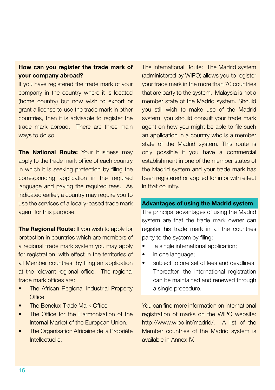#### How can you register the trade mark of your company abroad?

If you have registered the trade mark of your company in the country where it is located (home country) but now wish to export or grant a license to use the trade mark in other countries, then it is advisable to register the trade mark abroad. There are three main ways to do so:

The National Route: Your business may apply to the trade mark office of each country in which it is seeking protection by filing the corresponding application in the required language and paying the required fees. As indicated earlier, a country may require you to use the services of a locally-based trade mark agent for this purpose.

**The Regional Route:** If you wish to apply for protection in countries which are members of a regional trade mark system you may apply for registration, with effect in the territories of all Member countries, by filing an application at the relevant regional office. The regional trade mark offices are:

- The African Regional Industrial Property **Office**
- **The Benelux Trade Mark Office**
- The Office for the Harmonization of the Internal Market of the European Union.
- The Organisation Africaine de la Propriété Intellectuelle.

The International Route: The Madrid system (administered by WIPO) allows you to register your trade mark in the more than 70 countries that are party to the system. Malaysia is not a member state of the Madrid system. Should you still wish to make use of the Madrid system, you should consult your trade mark agent on how you might be able to file such an application in a country who is a member state of the Madrid system. This route is only possible if you have a commercial establishment in one of the member states of the Madrid system and your trade mark has been registered or applied for in or with effect in that country.

#### Advantages of using the Madrid system

The principal advantages of using the Madrid system are that the trade mark owner can register his trade mark in all the countries party to the system by filing:

- a single international application;
- in one language:
- subject to one set of fees and deadlines. Thereafter, the international registration can be maintained and renewed through a single procedure.

You can find more information on international registration of marks on the WIPO website: http://www.wipo.int/madrid/. A list of the Member countries of the Madrid system is available in Annex IV.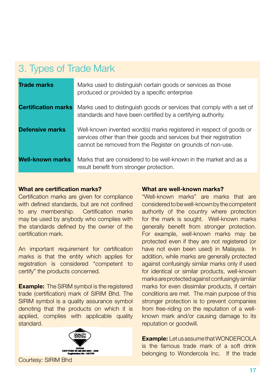## 3. Types of Trade Mark

| <b>Trade marks</b>         | Marks used to distinguish certain goods or services as those<br>produced or provided by a specific enterprise                                                                                            |
|----------------------------|----------------------------------------------------------------------------------------------------------------------------------------------------------------------------------------------------------|
| <b>Certification marks</b> | Marks used to distinguish goods or services that comply with a set of<br>standards and have been certified by a certifying authority.                                                                    |
| <b>Defensive marks</b>     | Well-known invented word(s) marks registered in respect of goods or<br>services other than their goods and services but their registration<br>cannot be removed from the Register on grounds of non-use. |
| <b>Well-known marks</b>    | Marks that are considered to be well-known in the market and as a<br>result benefit from stronger protection.                                                                                            |

#### What are certification marks?

Certification marks are given for compliance with defined standards, but are not confined to any membership. Certification marks may be used by anybody who complies with the standards defined by the owner of the certification mark.

An important requirement for certification marks is that the entity which applies for registration is considered "competent to certify" the products concerned.

**Example:** The SIRIM symbol is the registered trade (certification) mark of SIRIM Bhd. The SIRIM symbol is a quality assurance symbol denoting that the products on which it is applied, complies with applicable quality standard.



#### What are well-known marks?

"Well-known marks" are marks that are considered to be well-known by the competent authority of the country where protection for the mark is sought. Well-known marks generally benefit from stronger protection. For example, well-known marks may be protected even if they are not registered (or have not even been used) in Malaysia. In addition, while marks are generally protected against confusingly similar marks only if used for identical or similar products, well-known marks are protected against confusingly similar marks for even dissimilar products, if certain conditions are met. The main purpose of this stronger protection is to prevent companies from free-riding on the reputation of a wellknown mark and/or causing damage to its reputation or goodwill.

Example: Let us assume that WONDERCOLA is the famous trade mark of a soft drink belonging to Wondercola Inc. If the trade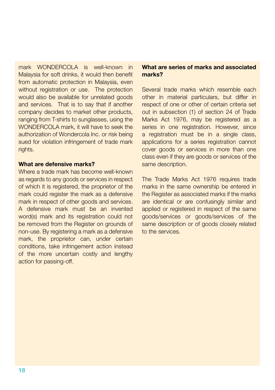mark WONDERCOLA is well-known in Malaysia for soft drinks, it would then benefit from automatic protection in Malaysia, even without registration or use. The protection would also be available for unrelated goods and services. That is to say that if another company decides to market other products, ranging from T-shirts to sunglasses, using the WONDERCOLA mark, it will have to seek the authorization of Wondercola Inc. or risk being sued for violation infringement of trade mark rights.

#### What are defensive marks?

Where a trade mark has become well-known as regards to any goods or services in respect of which it is registered, the proprietor of the mark could register the mark as a defensive mark in respect of other goods and services. A defensive mark must be an invented word(s) mark and its registration could not be removed from the Register on grounds of non-use. By registering a mark as a defensive mark, the proprietor can, under certain conditions, take infringement action instead of the more uncertain costly and lengthy action for passing-off.

#### What are series of marks and associated marks?

Several trade marks which resemble each other in material particulars, but differ in respect of one or other of certain criteria set out in subsection (1) of section 24 of Trade Marks Act 1976, may be registered as a series in one registration. However, since a registration must be in a single class, applications for a series registration cannot cover goods or services in more than one class even if they are goods or services of the same description.

The Trade Marks Act 1976 requires trade marks in the same ownership be entered in the Register as associated marks if the marks are identical or are confusingly similar and applied or registered in respect of the same goods/services or goods/services of the same description or of goods closely related to the services.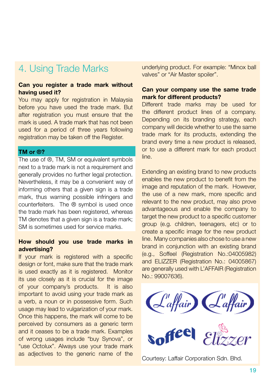## 4. Using Trade Marks

#### Can you register a trade mark without having used it?

You may apply for registration in Malaysia before you have used the trade mark. But after registration you must ensure that the mark is used. A trade mark that has not been used for a period of three years following registration may be taken off the Register.

#### TM or ®?

The use of ®, TM, SM or equivalent symbols next to a trade mark is not a requirement and generally provides no further legal protection. Nevertheless, it may be a convenient way of informing others that a given sign is a trade mark, thus warning possible infringers and counterfeiters. The ® symbol is used once the trade mark has been registered, whereas TM denotes that a given sign is a trade mark; SM is sometimes used for service marks.

#### How should you use trade marks in advertising?

If your mark is registered with a specific design or font, make sure that the trade mark is used exactly as it is registered. Monitor its use closely as it is crucial for the image of your company's products. It is also important to avoid using your trade mark as a verb, a noun or in possessive form. Such usage may lead to vulgarization of your mark. Once this happens, the mark will come to be perceived by consumers as a generic term and it ceases to be a trade mark. Examples of wrong usages include "buy Synova", or "use Octolux". Always use your trade mark as adjectives to the generic name of the underlying product. For example: "Minox ball valves" or "Air Master spoiler".

#### Can your company use the same trade mark for different products?

Different trade marks may be used for the different product lines of a company. Depending on its branding strategy, each company will decide whether to use the same trade mark for its products, extending the brand every time a new product is released, or to use a different mark for each product line.

Extending an existing brand to new products enables the new product to benefit from the image and reputation of the mark. However, the use of a new mark, more specific and relevant to the new product, may also prove advantageous and enable the company to target the new product to a specific customer group (e.g. children, teenagers, etc) or to create a specific image for the new product line. Many companies also chose to use a new brand in conjunction with an existing brand (e.g., Soffeel (Registration No.:04005982) and ELIZZER (Registration No.: 04005867) are generally used with L'AFFAIR (Registration No.: 99007636).



Courtesy: Laffair Corporation Sdn. Bhd.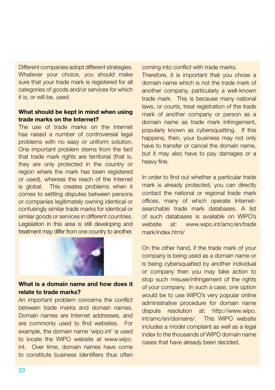Different companies adopt different strategies. Whatever your choice, you should make sure that your trade mark is registered for all categories of goods and/or services for which it is, or will be, used.

#### What should be kept in mind when using trade marks on the Internet?

The use of trade marks on the Internet has raised a number of controversial legal problems with no easy or uniform solution. One important problem stems from the fact that trade mark rights are territorial (that is, they are only protected in the country or region where the mark has been registered or used), whereas the reach of the Internet is global. This creates problems when it comes to settling disputes between persons or companies legitimately owning identical or confusingly similar trade marks for identical or similar goods or services in different countries. Legislation in this area is still developing and treatment may differ from one country to another.



#### What is a domain name and how does it relate to trade marks?

An important problem concerns the conflict between trade marks and domain names. Domain names are Internet addresses, and are commonly used to find websites. For example, the domain name 'wipo.int' is used to locate the WIPO website at www.wipo. int. Over time, domain names have come to constitute business identifiers thus often coming into conflict with trade marks.

Therefore, it is important that you chose a domain name which is not the trade mark of another company, particularly a well-known trade mark. This is because many national laws, or courts, treat registration of the trade mark of another company or person as a domain name as trade mark infringement, popularly known as cybersquatting. If this happens, then, your business may not only have to transfer or cancel the domain name, but it may also have to pay damages or a heavy fine.

In order to find out whether a particular trade mark is already protected, you can directly contact the national or regional trade mark offices, many of which operate Internetsearchable trade mark databases. A list of such databases is available on WIPO's website at: www.wipo.int/amc/en/trade mark/index.html/

On the other hand, if the trade mark of your company is being used as a domain name or is being cybersquatted by another individual or company then you may take action to stop such misuse/infringement of the rights of your company. In such a case, one option would be to use WIPO's very popular online administrative procedure for domain name dispute resolution at: http://www.wipo. int/amc/en/domains/. This WIPO website includes a model complaint as well as a legal index to the thousands of WIPO domain name cases that have already been decided.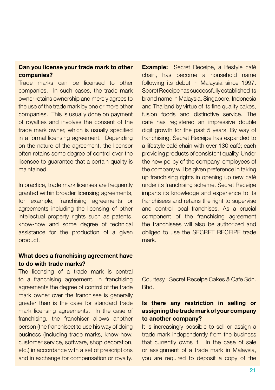#### Can you license your trade mark to other companies?

Trade marks can be licensed to other companies. In such cases, the trade mark owner retains ownership and merely agrees to the use of the trade mark by one or more other companies. This is usually done on payment of royalties and involves the consent of the trade mark owner, which is usually specified in a formal licensing agreement. Depending on the nature of the agreement, the licensor often retains some degree of control over the licensee to guarantee that a certain quality is maintained.

In practice, trade mark licenses are frequently granted within broader licensing agreements, for example, franchising agreements or agreements including the licensing of other intellectual property rights such as patents, know-how and some degree of technical assistance for the production of a given product.

#### What does a franchising agreement have to do with trade marks?

The licensing of a trade mark is central to a franchising agreement. In franchising agreements the degree of control of the trade mark owner over the franchisee is generally greater than is the case for standard trade mark licensing agreements. In the case of franchising, the franchiser allows another person (the franchisee) to use his way of doing business (including trade marks, know-how, customer service, software, shop decoration, etc.) in accordance with a set of prescriptions and in exchange for compensation or royalty. **Example:** Secret Receipe, a lifestyle café chain, has become a household name following its debut in Malaysia since 1997. Secret Receipe has successfully established its brand name in Malaysia, Singapore, Indonesia and Thailand by virtue of its fine quality cakes, fusion foods and distinctive service. The café has registered an impressive double digit growth for the past 5 years. By way of franchising, Secret Receipe has expanded to a lifestyle café chain with over 130 café; each providing products of consistent quality. Under the new policy of the company, employees of the company will be given preference in taking up franchising rights in opening up new café under its franchising scheme. Secret Receipe imparts its knowledge and experience to its franchisees and retains the right to supervise and control local franchises. As a crucial component of the franchising agreement the franchisees will also be authorized and obliged to use the SECRET RECEIPE trade mark.

Courtesy : Secret Receipe Cakes & Cafe Sdn. Bhd.

#### Is there any restriction in selling or assigning the trade mark of your company to another company?

It is increasingly possible to sell or assign a trade mark independently from the business that currently owns it. In the case of sale or assignment of a trade mark in Malaysia, you are required to deposit a copy of the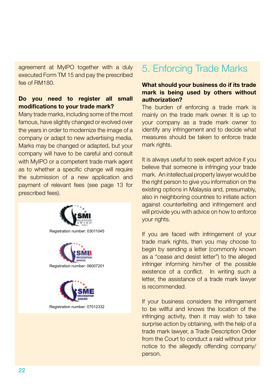agreement at MyIPO together with a duly executed Form TM 15 and pay the prescribed fee of RM180.

#### Do you need to register all small modifications to your trade mark?

Many trade marks, including some of the most famous, have slightly changed or evolved over the years in order to modernize the image of a company or adapt to new advertising media. Marks may be changed or adapted, but your company will have to be careful and consult with MyIPO or a competent trade mark agent as to whether a specific change will require the submission of a new application and payment of relevant fees (see page 13 for prescribed fees).



Registration number: 07012332

## 5. Enforcing Trade Marks

#### What should your business do if its trade mark is being used by others without authorization?

The burden of enforcing a trade mark is mainly on the trade mark owner. It is up to your company as a trade mark owner to identify any infringement and to decide what measures should be taken to enforce trade mark rights.

It is always useful to seek expert advice if you believe that someone is infringing your trade mark. An intellectual property lawyer would be the right person to give you information on the existing options in Malaysia and, presumably, also in neighboring countries to initiate action against counterfeiting and infringement and will provide you with advice on how to enforce your rights.

If you are faced with infringement of your trade mark rights, then you may choose to begin by sending a letter (commonly known as a "cease and desist letter") to the alleged infringer informing him/her of the possible existence of a conflict. In writing such a letter, the assistance of a trade mark lawyer is recommended.

If your business considers the infringement to be willful and knows the location of the infringing activity, then it may wish to take surprise action by obtaining, with the help of a trade mark lawyer, a Trade Description Order from the Court to conduct a raid without prior notice to the allegedly offending company/ person.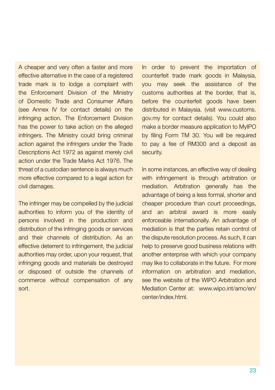A cheaper and very often a faster and more effective alternative in the case of a registered trade mark is to lodge a complaint with the Enforcement Division of the Ministry of Domestic Trade and Consumer Affairs (see Annex IV for contact details) on the infringing action. The Enforcement Division has the power to take action on the alleged infringers. The Ministry could bring criminal action against the infringers under the Trade Descriptions Act 1972 as against merely civil action under the Trade Marks Act 1976. The threat of a custodian sentence is always much more effective compared to a legal action for civil damages.

The infringer may be compelled by the judicial authorities to inform you of the identity of persons involved in the production and distribution of the infringing goods or services and their channels of distribution. As an effective deterrent to infringement, the judicial authorities may order, upon your request, that infringing goods and materials be destroyed or disposed of outside the channels of commerce without compensation of any sort.

In order to prevent the importation of counterfeit trade mark goods in Malaysia, you may seek the assistance of the customs authorities at the border, that is, before the counterfeit goods have been distributed in Malaysia. (visit www.customs. gov.my for contact details). You could also make a border measure application to MyIPO by filing Form TM 30. You will be required to pay a fee of RM300 and a deposit as security.

In some instances, an effective way of dealing with infringement is through arbitration or mediation. Arbitration generally has the advantage of being a less formal, shorter and cheaper procedure than court proceedings, and an arbitral award is more easily enforceable internationally. An advantage of mediation is that the parties retain control of the dispute resolution process. As such, it can help to preserve good business relations with another enterprise with which your company may like to collaborate in the future. For more information on arbitration and mediation, see the website of the WIPO Arbitration and Mediation Center at: www.wipo.int/amc/en/ center/index.html.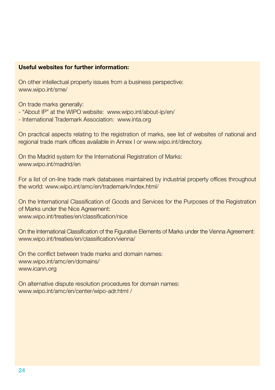#### Useful websites for further information:

On other intellectual property issues from a business perspective: www.wipo.int/sme/

On trade marks generally:

- "About IP" at the WIPO website: www.wipo.int/about-ip/en/

- International Trademark Association: www.inta.org

On practical aspects relating to the registration of marks, see list of websites of national and regional trade mark offices available in Annex I or www.wipo.int/directory.

On the Madrid system for the International Registration of Marks: www.wipo.int/madrid/en

For a list of on-line trade mark databases maintained by industrial property offices throughout the world: www.wipo.int/amc/en/trademark/index.html/

On the International Classification of Goods and Services for the Purposes of the Registration of Marks under the Nice Agreement: www.wipo.int/treaties/en/classification/nice

On the International Classification of the Figurative Elements of Marks under the Vienna Agreement: www.wipo.int/treaties/en/classification/vienna/

On the conflict between trade marks and domain names: www.wipo.int/amc/en/domains/ www.icann.org

On alternative dispute resolution procedures for domain names: www.wipo.int/amc/en/center/wipo-adr.html /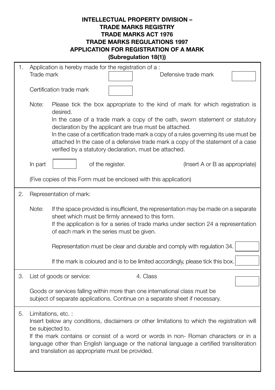| <b>INTELLECTUAL PROPERTY DIVISION -</b> |
|-----------------------------------------|
| <b>TRADE MARKS REGISTRY</b>             |
| <b>TRADE MARKS ACT 1976</b>             |
| <b>TRADE MARKS REGULATIONS 1997</b>     |
| APPLICATION FOR REGISTRATION OF A MARK  |
| (Subregulation 18(1))                   |
|                                         |

| 1. |                          | Application is hereby made for the registration of a:                                                                                   |                  |                                                                                                                                                                                  |  |
|----|--------------------------|-----------------------------------------------------------------------------------------------------------------------------------------|------------------|----------------------------------------------------------------------------------------------------------------------------------------------------------------------------------|--|
|    | Trade mark               |                                                                                                                                         |                  | Defensive trade mark                                                                                                                                                             |  |
|    | Certification trade mark |                                                                                                                                         |                  |                                                                                                                                                                                  |  |
|    |                          |                                                                                                                                         |                  |                                                                                                                                                                                  |  |
|    | Note:                    | desired.                                                                                                                                |                  | Please tick the box appropriate to the kind of mark for which registration is                                                                                                    |  |
|    |                          | declaration by the applicant are true must be attached.                                                                                 |                  | In the case of a trade mark a copy of the oath, sworn statement or statutory                                                                                                     |  |
|    |                          | verified by a statutory declaration, must be attached.                                                                                  |                  | In the case of a certification trade mark a copy of a rules governing its use must be<br>attached In the case of a defensive trade mark a copy of the statement of a case        |  |
|    | In part                  |                                                                                                                                         | of the register. | (Insert A or B as appropriate)                                                                                                                                                   |  |
|    |                          | (Five copies of this Form must be enclosed with this application)                                                                       |                  |                                                                                                                                                                                  |  |
| 2. | Representation of mark:  |                                                                                                                                         |                  |                                                                                                                                                                                  |  |
|    | Note:                    | sheet which must be firmly annexed to this form.<br>of each mark in the series must be given.                                           |                  | If the space provided is insufficient, the representation may be made on a separate<br>If the application is for a series of trade marks under section 24 a representation       |  |
|    |                          |                                                                                                                                         |                  | Representation must be clear and durable and comply with regulation 34.                                                                                                          |  |
|    |                          |                                                                                                                                         |                  | If the mark is coloured and is to be limited accordingly, please tick this box.                                                                                                  |  |
| З. |                          | List of goods or service:                                                                                                               | 4. Class         |                                                                                                                                                                                  |  |
|    |                          |                                                                                                                                         |                  | Goods or services falling within more than one international class must be<br>subject of separate applications. Continue on a separate sheet if necessary.                       |  |
| 5. |                          | Limitations, etc. :<br>Insert below any conditions, disclaimers or other limitations to which the registration will<br>be subjected to. |                  |                                                                                                                                                                                  |  |
|    |                          | and translation as appropriate must be provided.                                                                                        |                  | If the mark contains or consist of a word or words in non- Roman characters or in a<br>language other than English language or the national language a certified transliteration |  |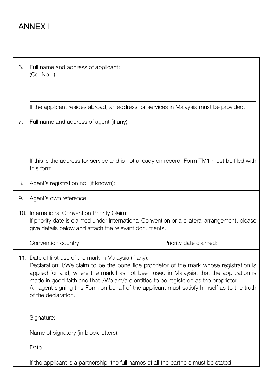## ANNEX I

| 6. | Full name and address of applicant:<br>(Co. No. )                                                                                                                                                                                                                                                                                                                                                                                                          |
|----|------------------------------------------------------------------------------------------------------------------------------------------------------------------------------------------------------------------------------------------------------------------------------------------------------------------------------------------------------------------------------------------------------------------------------------------------------------|
|    |                                                                                                                                                                                                                                                                                                                                                                                                                                                            |
|    | If the applicant resides abroad, an address for services in Malaysia must be provided.                                                                                                                                                                                                                                                                                                                                                                     |
| 7. | Full name and address of agent (if any):                                                                                                                                                                                                                                                                                                                                                                                                                   |
|    |                                                                                                                                                                                                                                                                                                                                                                                                                                                            |
|    | If this is the address for service and is not already on record, Form TM1 must be filed with<br>this form                                                                                                                                                                                                                                                                                                                                                  |
| 8. |                                                                                                                                                                                                                                                                                                                                                                                                                                                            |
| 9. | Agent's own reference:                                                                                                                                                                                                                                                                                                                                                                                                                                     |
|    | 10. International Convention Priority Claim:<br>If priority date is claimed under International Convention or a bilateral arrangement, please<br>give details below and attach the relevant documents.                                                                                                                                                                                                                                                     |
|    | Convention country:<br>Priority date claimed:                                                                                                                                                                                                                                                                                                                                                                                                              |
|    | 11. Date of first use of the mark in Malaysia (if any):<br>Declaration: I/We claim to be the bone fide proprietor of the mark whose registration is<br>applied for and, where the mark has not been used in Malaysia, that the application is<br>made in good faith and that I/We am/are entitled to be registered as the proprietor.<br>An agent signing this Form on behalf of the applicant must satisfy himself as to the truth<br>of the declaration. |
|    | Signature:                                                                                                                                                                                                                                                                                                                                                                                                                                                 |
|    | Name of signatory (in block letters):                                                                                                                                                                                                                                                                                                                                                                                                                      |
|    | Date:                                                                                                                                                                                                                                                                                                                                                                                                                                                      |
|    | If the applicant is a partnership, the full names of all the partners must be stated.                                                                                                                                                                                                                                                                                                                                                                      |

٦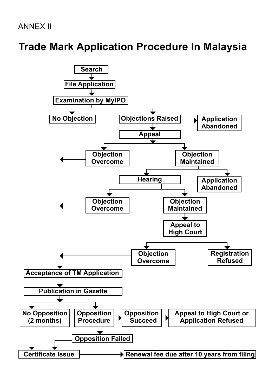## **Trade Mark Application Procedure In Malaysia**

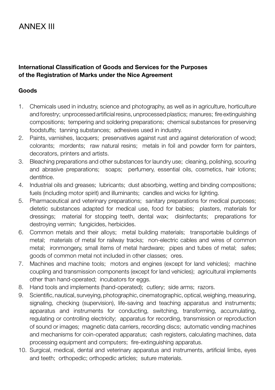## ANNEX III

#### International Classification of Goods and Services for the Purposes of the Registration of Marks under the Nice Agreement

#### Goods

- 1. Chemicals used in industry, science and photography, as well as in agriculture, horticulture and forestry; unprocessed artificial resins, unprocessed plastics; manures; fire extinguishing compositions; tempering and soldering preparations; chemical substances for preserving foodstuffs; tanning substances; adhesives used in industry.
- 2. Paints, varnishes, lacquers; preservatives against rust and against deterioration of wood; colorants; mordents; raw natural resins; metals in foil and powder form for painters, decorators, printers and artists.
- 3. Bleaching preparations and other substances for laundry use; cleaning, polishing, scouring and abrasive preparations; soaps; perfumery, essential oils, cosmetics, hair lotions; dentifrice.
- 4. Industrial oils and greases; lubricants; dust absorbing, wetting and binding compositions; fuels (including motor spirit) and illuminants; candles and wicks for lighting.
- 5. Pharmaceutical and veterinary preparations; sanitary preparations for medical purposes; dietetic substances adapted for medical use, food for babies; plasters, materials for dressings; material for stopping teeth, dental wax; disinfectants; preparations for destroying vermin; fungicides, herbicides.
- 6. Common metals and their alloys; metal building materials; transportable buildings of metal; materials of metal for railway tracks; non-electric cables and wires of common metal; ironmongery, small items of metal hardware; pipes and tubes of metal; safes; goods of common metal not included in other classes; ores.
- 7. Machines and machine tools; motors and engines (except for land vehicles); machine coupling and transmission components (except for land vehicles); agricultural implements other than hand-operated; incubators for eggs.
- 8. Hand tools and implements (hand-operated); cutlery; side arms; razors.
- 9. Scientific, nautical, surveying, photographic, cinematographic, optical, weighing, measuring, signaling, checking (supervision), life-saving and teaching apparatus and instruments; apparatus and instruments for conducting, switching, transforming, accumulating, regulating or controlling electricity; apparatus for recording, transmission or reproduction of sound or images; magnetic data carriers, recording discs; automatic vending machines and mechanisms for coin-operated apparatus; cash registers, calculating machines, data processing equipment and computers; fire-extinguishing apparatus.
- 10. Surgical, medical, dental and veterinary apparatus and instruments, artificial limbs, eyes and teeth; orthopedic; orthopedic articles; suture materials.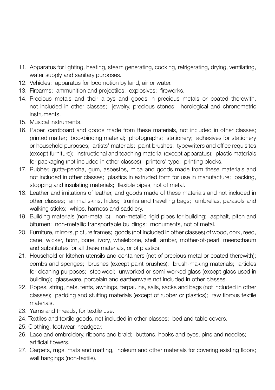- 11. Apparatus for lighting, heating, steam generating, cooking, refrigerating, drying, ventilating, water supply and sanitary purposes.
- 12. Vehicles; apparatus for locomotion by land, air or water.
- 13. Firearms; ammunition and projectiles; explosives; fireworks.
- 14. Precious metals and their alloys and goods in precious metals or coated therewith, not included in other classes; jewelry, precious stones; horological and chronometric instruments.
- 15. Musical instruments.
- 16. Paper, cardboard and goods made from these materials, not included in other classes; printed matter; bookbinding material; photographs; stationery; adhesives for stationery or household purposes; artists' materials; paint brushes; typewriters and office requisites (except furniture); instructional and teaching material (except apparatus); plastic materials for packaging (not included in other classes); printers' type; printing blocks.
- 17. Rubber, gutta-percha, gum, asbestos, mica and goods made from these materials and not included in other classes; plastics in extruded form for use in manufacture; packing, stopping and insulating materials; flexible pipes, not of metal.
- 18. Leather and imitations of leather, and goods made of these materials and not included in other classes; animal skins, hides; trunks and travelling bags; umbrellas, parasols and walking sticks; whips, harness and saddlery.
- 19. Building materials (non-metallic); non-metallic rigid pipes for building; asphalt, pitch and bitumen; non-metallic transportable buildings; monuments, not of metal.
- 20. Furniture, mirrors, picture frames; goods (not included in other classes) of wood, cork, reed, cane, wicker, horn, bone, ivory, whalebone, shell, amber, mother-of-pearl, meerschaum and substitutes for all these materials, or of plastics.
- 21. Household or kitchen utensils and containers (not of precious metal or coated therewith); combs and sponges; brushes (except paint brushes); brush-making materials; articles for cleaning purposes; steelwool; unworked or semi-worked glass (except glass used in building); glassware, porcelain and earthenware not included in other classes.
- 22. Ropes, string, nets, tents, awnings, tarpaulins, sails, sacks and bags (not included in other classes); padding and stuffing materials (except of rubber or plastics); raw fibrous textile materials.
- 23. Yarns and threads, for textile use.
- 24. Textiles and textile goods, not included in other classes; bed and table covers.
- 25. Clothing, footwear, headgear.
- 26. Lace and embroidery, ribbons and braid; buttons, hooks and eyes, pins and needles; artificial flowers.
- 27. Carpets, rugs, mats and matting, linoleum and other materials for covering existing floors; wall hangings (non-textile).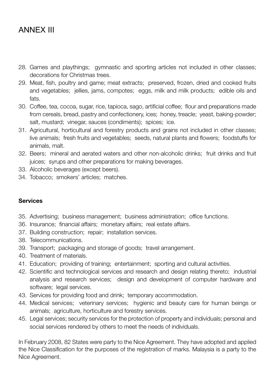## ANNEX III

- 28. Games and playthings; gymnastic and sporting articles not included in other classes; decorations for Christmas trees.
- 29. Meat, fish, poultry and game; meat extracts; preserved, frozen, dried and cooked fruits and vegetables; jellies, jams, compotes; eggs, milk and milk products; edible oils and fats.
- 30. Coffee, tea, cocoa, sugar, rice, tapioca, sago, artificial coffee; flour and preparations made from cereals, bread, pastry and confectionery, ices; honey, treacle; yeast, baking-powder; salt, mustard; vinegar, sauces (condiments); spices; ice.
- 31. Agricultural, horticultural and forestry products and grains not included in other classes; live animals; fresh fruits and vegetables; seeds, natural plants and flowers; foodstuffs for animals, malt.
- 32. Beers; mineral and aerated waters and other non-alcoholic drinks; fruit drinks and fruit juices; syrups and other preparations for making beverages.
- 33. Alcoholic beverages (except beers).
- 34. Tobacco; smokers' articles; matches.

#### **Services**

- 35. Advertising; business management; business administration; office functions.
- 36. Insurance; financial affairs; monetary affairs; real estate affairs.
- 37. Building construction; repair; installation services.
- 38. Telecommunications.
- 39. Transport; packaging and storage of goods; travel arrangement.
- 40. Treatment of materials.
- 41. Education; providing of training; entertainment; sporting and cultural activities.
- 42. Scientific and technological services and research and design relating thereto; industrial analysis and research services; design and development of computer hardware and software; legal services.
- 43. Services for providing food and drink; temporary accommodation.
- 44. Medical services; veterinary services; hygienic and beauty care for human beings or animals; agriculture, horticulture and forestry services.
- 45. Legal services; security services for the protection of property and individuals; personal and social services rendered by others to meet the needs of individuals.

In February 2008, 82 States were party to the Nice Agreement. They have adopted and applied the Nice Classification for the purposes of the registration of marks. Malaysia is a party to the Nice Agreement.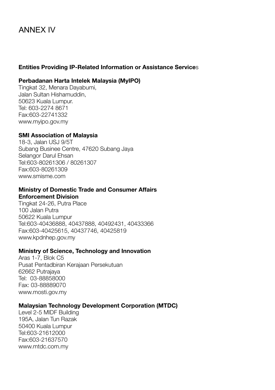### ANNEX IV

#### Entities Providing IP-Related Information or Assistance Services

#### Perbadanan Harta Intelek Malaysia (MyIPO)

Tingkat 32, Menara Dayabumi, Jalan Sultan Hishamuddin, 50623 Kuala Lumpur. Tel: 603-2274 8671 Fax:603-22741332 www.myipo.gov.my

#### SMI Association of Malaysia

18-3, Jalan USJ 9/5T Subang Businee Centre, 47620 Subang Jaya Selangor Darul Ehsan Tel:603-80261306 / 80261307 Fax:603-80261309 www.smisme.com

#### Ministry of Domestic Trade and Consumer Affairs Enforcement Division

Tingkat 24-26, Putra Place 100 Jalan Putra 50622 Kuala Lumpur Tel:603-40436888, 40437888, 40492431, 40433366 Fax:603-40425615, 40437746, 40425819 www.kpdnhep.gov.my

#### Ministry of Science, Technology and Innovation

Aras 1-7, Blok C5 Pusat Pentadbiran Kerajaan Persekutuan 62662 Putrajaya Tel: 03-88858000 Fax: 03-88889070 www.mosti.gov.my

#### Malaysian Technology Development Corporation (MTDC)

Level 2-5 MIDF Building 195A, Jalan Tun Razak 50400 Kuala Lumpur Tel:603-21612000 Fax:603-21637570 www.mtdc.com.my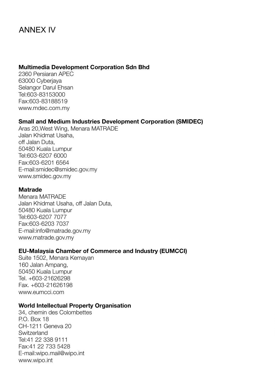## ANNEX IV

#### Multimedia Development Corporation Sdn Bhd

2360 Persiaran APEC 63000 Cyberjaya Selangor Darul Ehsan Tel:603-83153000 Fax:603-83188519 www.mdec.com.my

#### Small and Medium Industries Development Corporation (SMIDEC)

Aras 20,West Wing, Menara MATRADE Jalan Khidmat Usaha, off Jalan Duta, 50480 Kuala Lumpur Tel:603-6207 6000 Fax:603-6201 6564 E-mail:smidec@smidec.gov.my www.smidec.gov.my

#### Matrade

Menara MATRADE Jalan Khidmat Usaha, off Jalan Duta, 50480 Kuala Lumpur Tel:603-6207 7077 Fax:603-6203 7037 E-mail:info@matrade.gov.my www.matrade.gov.my

#### EU-Malaysia Chamber of Commerce and Industry (EUMCCI)

Suite 1502, Menara Kemayan 160 Jalan Ampang, 50450 Kuala Lumpur Tel. +603-21626298 Fax. +603-21626198 www.eumcci.com

#### World Intellectual Property Organisation

34, chemin des Colombettes P.O. Box 18 CH-1211 Geneva 20 Switzerland Tel:41 22 338 9111 Fax:41 22 733 5428 E-mail:wipo.mail@wipo.int www.wipo.int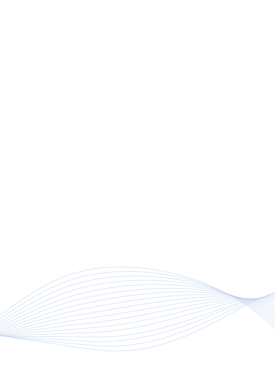